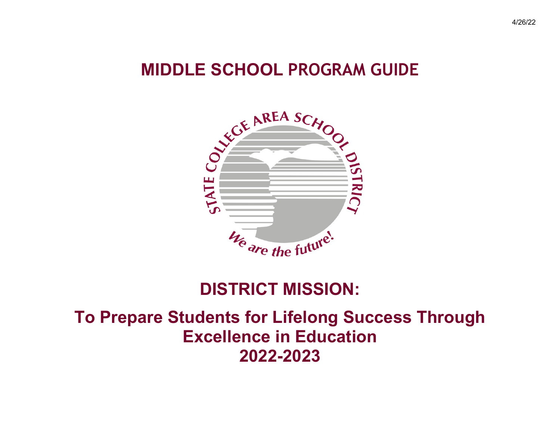# **MIDDLE SCHOOL PROGRAM GUIDE**



# **DISTRICT MISSION:**

# **To Prepare Students for Lifelong Success Through Excellence in Education 2022-2023**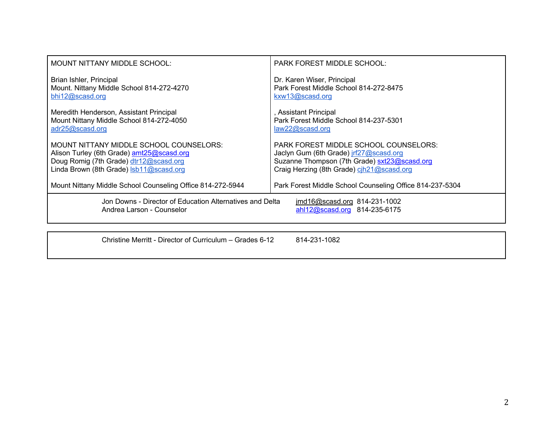| MOUNT NITTANY MIDDLE SCHOOL:                                                                                                                                              | <b>PARK FOREST MIDDLE SCHOOL:</b>                                                                                                                                                   |  |  |
|---------------------------------------------------------------------------------------------------------------------------------------------------------------------------|-------------------------------------------------------------------------------------------------------------------------------------------------------------------------------------|--|--|
| Brian Ishler, Principal<br>Mount. Nittany Middle School 814-272-4270<br>bhi12@scasd.org                                                                                   | Dr. Karen Wiser, Principal<br>Park Forest Middle School 814-272-8475<br>kxw13@scasd.org                                                                                             |  |  |
| Meredith Henderson, Assistant Principal<br>Mount Nittany Middle School 814-272-4050<br>adr25@scasd.org                                                                    | , Assistant Principal<br>Park Forest Middle School 814-237-5301<br>law22@scasd.org                                                                                                  |  |  |
| MOUNT NITTANY MIDDLE SCHOOL COUNSELORS:<br>Alison Turley (6th Grade) amt25@scasd.org<br>Doug Romig (7th Grade) dtr12@scasd.org<br>Linda Brown (8th Grade) Isb11@scasd.org | <b>PARK FOREST MIDDLE SCHOOL COUNSELORS:</b><br>Jaclyn Gum (6th Grade) jrf27@scasd.org<br>Suzanne Thompson (7th Grade) sxt23@scasd.org<br>Craig Herzing (8th Grade) cih21@scasd.org |  |  |
| Mount Nittany Middle School Counseling Office 814-272-5944                                                                                                                | Park Forest Middle School Counseling Office 814-237-5304                                                                                                                            |  |  |
| Jon Downs - Director of Education Alternatives and Delta<br>jmd16@scasd.org 814-231-1002<br>ahl12@scasd.org 814-235-6175<br>Andrea Larson - Counselor                     |                                                                                                                                                                                     |  |  |
|                                                                                                                                                                           |                                                                                                                                                                                     |  |  |

Christine Merritt - Director of Curriculum – Grades 6-12 814-231-1082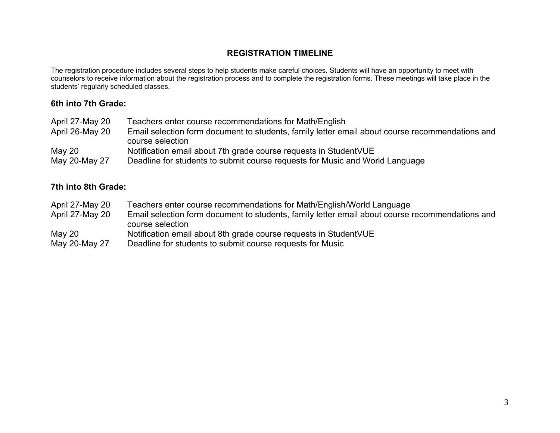### **REGISTRATION TIMELINE**

The registration procedure includes several steps to help students make careful choices. Students will have an opportunity to meet with counselors to receive information about the registration process and to complete the registration forms. These meetings will take place in the students' regularly scheduled classes.

#### **6th into 7th Grade:**

| April 27-May 20 | Teachers enter course recommendations for Math/English                                          |
|-----------------|-------------------------------------------------------------------------------------------------|
| April 26-May 20 | Email selection form document to students, family letter email about course recommendations and |
|                 | course selection                                                                                |
| May $20$        | Notification email about 7th grade course requests in StudentVUE                                |
| May 20-May 27   | Deadline for students to submit course requests for Music and World Language                    |

#### **7th into 8th Grade:**

April 27-May 20 Teachers enter course recommendations for Math/English/World Language April 27-May 20 Email selection form document to students, family letter email about course recommendations and course selection May 20 Notification email about 8th grade course requests in StudentVUE May 20-May 27 Deadline for students to submit course requests for Music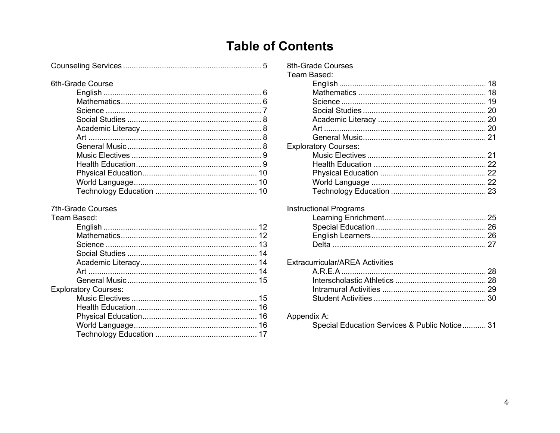## **Table of Contents**

#### **7th-Grade Courses**

#### Team Based: **Exploratory Courses:**

| 8th-Grade Courses           |  |
|-----------------------------|--|
| Team Based:                 |  |
|                             |  |
|                             |  |
|                             |  |
|                             |  |
|                             |  |
|                             |  |
|                             |  |
| <b>Exploratory Courses:</b> |  |
|                             |  |
|                             |  |
|                             |  |
|                             |  |
|                             |  |
|                             |  |

#### **Instructional Programs**

### **Extracurricular/AREA Activities**

#### Appendix A:

Special Education Services & Public Notice........... 31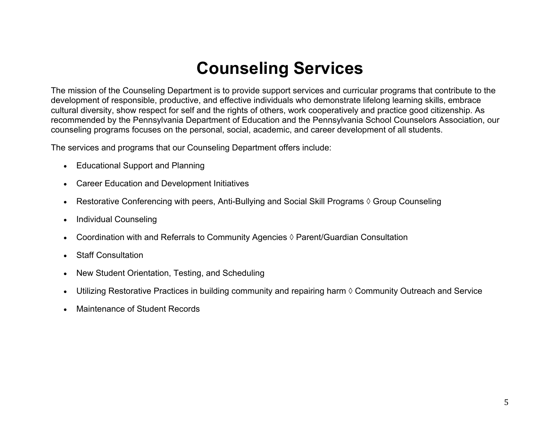# **Counseling Services**

The mission of the Counseling Department is to provide support services and curricular programs that contribute to the development of responsible, productive, and effective individuals who demonstrate lifelong learning skills, embrace cultural diversity, show respect for self and the rights of others, work cooperatively and practice good citizenship. As recommended by the Pennsylvania Department of Education and the Pennsylvania School Counselors Association, our counseling programs focuses on the personal, social, academic, and career development of all students.

The services and programs that our Counseling Department offers include:

- Educational Support and Planning
- Career Education and Development Initiatives
- Restorative Conferencing with peers, Anti-Bullying and Social Skill Programs  $\Diamond$  Group Counseling
- Individual Counseling
- Coordination with and Referrals to Community Agencies  $\Diamond$  Parent/Guardian Consultation
- Staff Consultation
- New Student Orientation, Testing, and Scheduling
- Utilizing Restorative Practices in building community and repairing harm  $\Diamond$  Community Outreach and Service
- Maintenance of Student Records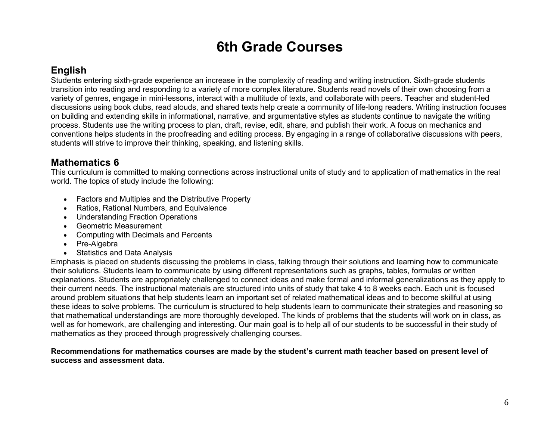## **6th Grade Courses**

### **English**

Students entering sixth-grade experience an increase in the complexity of reading and writing instruction. Sixth-grade students transition into reading and responding to a variety of more complex literature. Students read novels of their own choosing from a variety of genres, engage in mini-lessons, interact with a multitude of texts, and collaborate with peers. Teacher and student-led discussions using book clubs, read alouds, and shared texts help create a community of life-long readers. Writing instruction focuses on building and extending skills in informational, narrative, and argumentative styles as students continue to navigate the writing process. Students use the writing process to plan, draft, revise, edit, share, and publish their work. A focus on mechanics and conventions helps students in the proofreading and editing process. By engaging in a range of collaborative discussions with peers, students will strive to improve their thinking, speaking, and listening skills.

### **Mathematics 6**

This curriculum is committed to making connections across instructional units of study and to application of mathematics in the real world. The topics of study include the following:

- Factors and Multiples and the Distributive Property
- Ratios, Rational Numbers, and Equivalence
- Understanding Fraction Operations
- Geometric Measurement
- Computing with Decimals and Percents
- Pre-Algebra
- Statistics and Data Analysis

Emphasis is placed on students discussing the problems in class, talking through their solutions and learning how to communicate their solutions. Students learn to communicate by using different representations such as graphs, tables, formulas or written explanations. Students are appropriately challenged to connect ideas and make formal and informal generalizations as they apply to their current needs. The instructional materials are structured into units of study that take 4 to 8 weeks each. Each unit is focused around problem situations that help students learn an important set of related mathematical ideas and to become skillful at using these ideas to solve problems. The curriculum is structured to help students learn to communicate their strategies and reasoning so that mathematical understandings are more thoroughly developed. The kinds of problems that the students will work on in class, as well as for homework, are challenging and interesting. Our main goal is to help all of our students to be successful in their study of mathematics as they proceed through progressively challenging courses.

#### **Recommendations for mathematics courses are made by the student's current math teacher based on present level of success and assessment data.**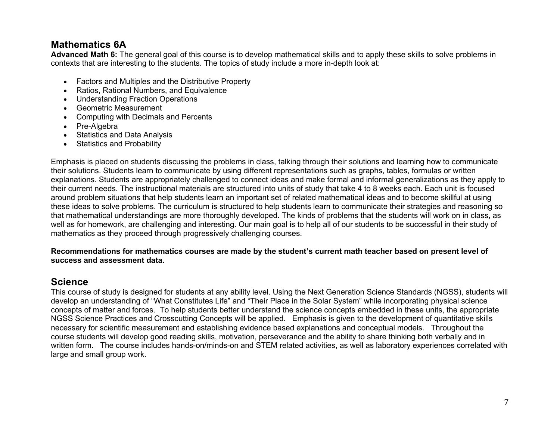### **Mathematics 6A**

**Advanced Math 6:** The general goal of this course is to develop mathematical skills and to apply these skills to solve problems in contexts that are interesting to the students. The topics of study include a more in-depth look at:

- Factors and Multiples and the Distributive Property
- Ratios, Rational Numbers, and Equivalence
- Understanding Fraction Operations
- Geometric Measurement
- Computing with Decimals and Percents
- Pre-Algebra
- Statistics and Data Analysis
- Statistics and Probability

Emphasis is placed on students discussing the problems in class, talking through their solutions and learning how to communicate their solutions. Students learn to communicate by using different representations such as graphs, tables, formulas or written explanations. Students are appropriately challenged to connect ideas and make formal and informal generalizations as they apply to their current needs. The instructional materials are structured into units of study that take 4 to 8 weeks each. Each unit is focused around problem situations that help students learn an important set of related mathematical ideas and to become skillful at using these ideas to solve problems. The curriculum is structured to help students learn to communicate their strategies and reasoning so that mathematical understandings are more thoroughly developed. The kinds of problems that the students will work on in class, as well as for homework, are challenging and interesting. Our main goal is to help all of our students to be successful in their study of mathematics as they proceed through progressively challenging courses.

#### **Recommendations for mathematics courses are made by the student's current math teacher based on present level of success and assessment data.**

### **Science**

This course of study is designed for students at any ability level. Using the Next Generation Science Standards (NGSS), students will develop an understanding of "What Constitutes Life" and "Their Place in the Solar System" while incorporating physical science concepts of matter and forces. To help students better understand the science concepts embedded in these units, the appropriate NGSS Science Practices and Crosscutting Concepts will be applied. Emphasis is given to the development of quantitative skills necessary for scientific measurement and establishing evidence based explanations and conceptual models. Throughout the course students will develop good reading skills, motivation, perseverance and the ability to share thinking both verbally and in written form. The course includes hands-on/minds-on and STEM related activities, as well as laboratory experiences correlated with large and small group work.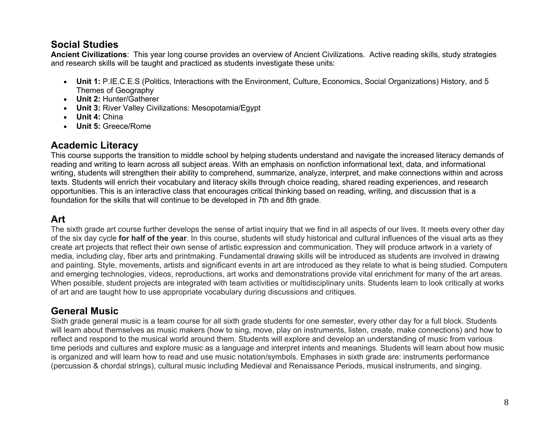### **Social Studies**

**Ancient Civilizations**: This year long course provides an overview of Ancient Civilizations. Active reading skills, study strategies and research skills will be taught and practiced as students investigate these units:

- **Unit 1:** P.IE.C.E.S (Politics, Interactions with the Environment, Culture, Economics, Social Organizations) History, and 5 Themes of Geography
- **Unit 2:** Hunter/Gatherer
- **Unit 3:** River Valley Civilizations: Mesopotamia/Egypt
- **Unit 4:** China
- **Unit 5:** Greece/Rome

### **Academic Literacy**

This course supports the transition to middle school by helping students understand and navigate the increased literacy demands of reading and writing to learn across all subject areas. With an emphasis on nonfiction informational text, data, and informational writing, students will strengthen their ability to comprehend, summarize, analyze, interpret, and make connections within and across texts. Students will enrich their vocabulary and literacy skills through choice reading, shared reading experiences, and research opportunities. This is an interactive class that encourages critical thinking based on reading, writing, and discussion that is a foundation for the skills that will continue to be developed in 7th and 8th grade.

### **Art**

The sixth grade art course further develops the sense of artist inquiry that we find in all aspects of our lives. It meets every other day of the six day cycle **for half of the year**. In this course, students will study historical and cultural influences of the visual arts as they create art projects that reflect their own sense of artistic expression and communication. They will produce artwork in a variety of media, including clay, fiber arts and printmaking. Fundamental drawing skills will be introduced as students are involved in drawing and painting. Style, movements, artists and significant events in art are introduced as they relate to what is being studied. Computers and emerging technologies, videos, reproductions, art works and demonstrations provide vital enrichment for many of the art areas. When possible, student projects are integrated with team activities or multidisciplinary units. Students learn to look critically at works of art and are taught how to use appropriate vocabulary during discussions and critiques.

### **General Music**

Sixth grade general music is a team course for all sixth grade students for one semester, every other day for a full block. Students will learn about themselves as music makers (how to sing, move, play on instruments, listen, create, make connections) and how to reflect and respond to the musical world around them. Students will explore and develop an understanding of music from various time periods and cultures and explore music as a language and interpret intents and meanings. Students will learn about how music is organized and will learn how to read and use music notation/symbols. Emphases in sixth grade are: instruments performance (percussion & chordal strings), cultural music including Medieval and Renaissance Periods, musical instruments, and singing.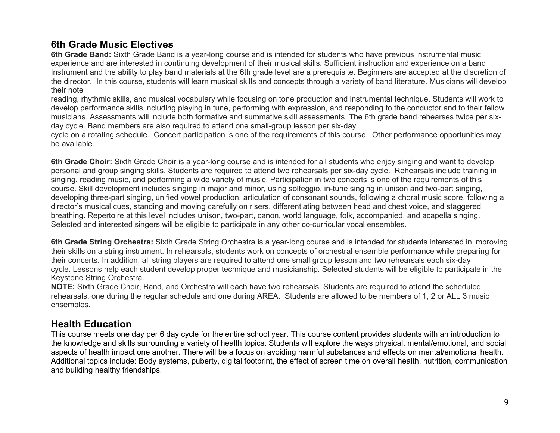### **6th Grade Music Electives**

**6th Grade Band:** Sixth Grade Band is a year-long course and is intended for students who have previous instrumental music experience and are interested in continuing development of their musical skills. Sufficient instruction and experience on a band Instrument and the ability to play band materials at the 6th grade level are a prerequisite. Beginners are accepted at the discretion of the director. In this course, students will learn musical skills and concepts through a variety of band literature. Musicians will develop their note

reading, rhythmic skills, and musical vocabulary while focusing on tone production and instrumental technique. Students will work to develop performance skills including playing in tune, performing with expression, and responding to the conductor and to their fellow musicians. Assessments will include both formative and summative skill assessments. The 6th grade band rehearses twice per sixday cycle. Band members are also required to attend one small-group lesson per six-day

cycle on a rotating schedule. Concert participation is one of the requirements of this course. Other performance opportunities may be available.

**6th Grade Choir:** Sixth Grade Choir is a year-long course and is intended for all students who enjoy singing and want to develop personal and group singing skills. Students are required to attend two rehearsals per six-day cycle. Rehearsals include training in singing, reading music, and performing a wide variety of music. Participation in two concerts is one of the requirements of this course. Skill development includes singing in major and minor, using solfeggio, in-tune singing in unison and two-part singing, developing three-part singing, unified vowel production, articulation of consonant sounds, following a choral music score, following a director's musical cues, standing and moving carefully on risers, differentiating between head and chest voice, and staggered breathing. Repertoire at this level includes unison, two-part, canon, world language, folk, accompanied, and acapella singing. Selected and interested singers will be eligible to participate in any other co-curricular vocal ensembles.

**6th Grade String Orchestra:** Sixth Grade String Orchestra is a year-long course and is intended for students interested in improving their skills on a string instrument. In rehearsals, students work on concepts of orchestral ensemble performance while preparing for their concerts. In addition, all string players are required to attend one small group lesson and two rehearsals each six-day cycle. Lessons help each student develop proper technique and musicianship. Selected students will be eligible to participate in the Keystone String Orchestra.

**NOTE:** Sixth Grade Choir, Band, and Orchestra will each have two rehearsals. Students are required to attend the scheduled rehearsals, one during the regular schedule and one during AREA. Students are allowed to be members of 1, 2 or ALL 3 music ensembles.

### **Health Education**

This course meets one day per 6 day cycle for the entire school year. This course content provides students with an introduction to the knowledge and skills surrounding a variety of health topics. Students will explore the ways physical, mental/emotional, and social aspects of health impact one another. There will be a focus on avoiding harmful substances and effects on mental/emotional health. Additional topics include: Body systems, puberty, digital footprint, the effect of screen time on overall health, nutrition, communication and building healthy friendships.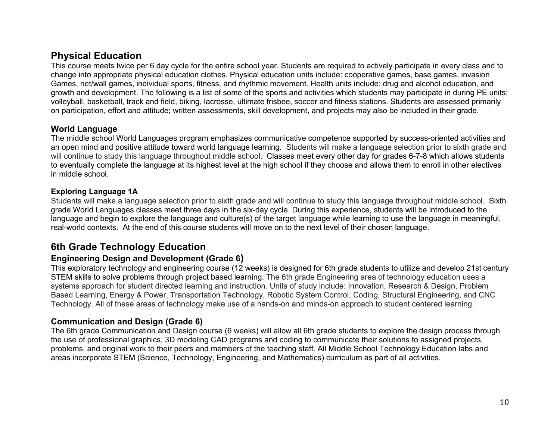### **Physical Education**

This course meets twice per 6 day cycle for the entire school year. Students are required to actively participate in every class and to change into appropriate physical education clothes. Physical education units include: cooperative games, base games, invasion Games, net/wall games, individual sports, fitness, and rhythmic movement. Health units include: drug and alcohol education, and growth and development. The following is a list of some of the sports and activities which students may participate in during PE units: volleyball, basketball, track and field, biking, lacrosse, ultimate frisbee, soccer and fitness stations. Students are assessed primarily on participation, effort and attitude; written assessments, skill development, and projects may also be included in their grade.

#### **World Language**

The middle school World Languages program emphasizes communicative competence supported by success-oriented activities and an open mind and positive attitude toward world language learning. Students will make a language selection prior to sixth grade and will continue to study this language throughout middle school. Classes meet every other day for grades 6-7-8 which allows students to eventually complete the language at its highest level at the high school if they choose and allows them to enroll in other electives in middle school.

#### **Exploring Language 1A**

Students will make a language selection prior to sixth grade and will continue to study this language throughout middle school. Sixth grade World Languages classes meet three days in the six-day cycle. During this experience, students will be introduced to the language and begin to explore the language and culture(s) of the target language while learning to use the language in meaningful, real-world contexts. At the end of this course students will move on to the next level of their chosen language.

### **6th Grade Technology Education**

### **Engineering Design and Development (Grade 6)**

This exploratory technology and engineering course (12 weeks) is designed for 6th grade students to utilize and develop 21st century STEM skills to solve problems through project based learning. The 6th grade Engineering area of technology education uses a systems approach for student directed learning and instruction. Units of study include: Innovation, Research & Design, Problem Based Learning, Energy & Power, Transportation Technology, Robotic System Control, Coding, Structural Engineering, and CNC Technology. All of these areas of technology make use of a hands-on and minds-on approach to student centered learning.

### **Communication and Design (Grade 6)**

The 6th grade Communication and Design course (6 weeks) will allow all 6th grade students to explore the design process through the use of professional graphics, 3D modeling CAD programs and coding to communicate their solutions to assigned projects, problems, and original work to their peers and members of the teaching staff. All Middle School Technology Education labs and areas incorporate STEM (Science, Technology, Engineering, and Mathematics) curriculum as part of all activities.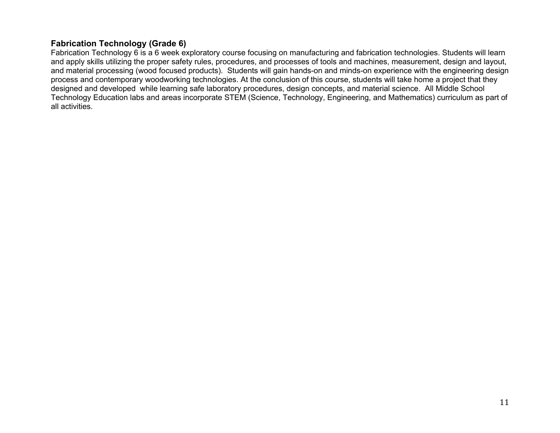### **Fabrication Technology (Grade 6)**

Fabrication Technology 6 is a 6 week exploratory course focusing on manufacturing and fabrication technologies. Students will learn and apply skills utilizing the proper safety rules, procedures, and processes of tools and machines, measurement, design and layout, and material processing (wood focused products). Students will gain hands-on and minds-on experience with the engineering design process and contemporary woodworking technologies. At the conclusion of this course, students will take home a project that they designed and developed while learning safe laboratory procedures, design concepts, and material science. All Middle School Technology Education labs and areas incorporate STEM (Science, Technology, Engineering, and Mathematics) curriculum as part of all activities.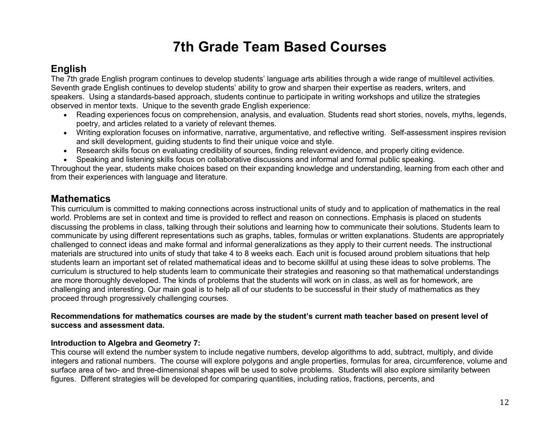## **7th Grade Team Based Courses**

### **English**

The 7th grade English program continues to develop students' language arts abilities through a wide range of multilevel activities. Seventh grade English continues to develop students' ability to grow and sharpen their expertise as readers, writers, and speakers. Using a standards-based approach, students continue to participate in writing workshops and utilize the strategies observed in mentor texts. Unique to the seventh grade English experience:

- Reading experiences focus on comprehension, analysis, and evaluation. Students read short stories, novels, myths, legends, poetry, and articles related to a variety of relevant themes.
- Writing exploration focuses on informative, narrative, argumentative, and reflective writing. Self-assessment inspires revision and skill development, guiding students to find their unique voice and style.
- Research skills focus on evaluating credibility of sources, finding relevant evidence, and properly citing evidence.
- Speaking and listening skills focus on collaborative discussions and informal and formal public speaking.

Throughout the year, students make choices based on their expanding knowledge and understanding, learning from each other and from their experiences with language and literature.

### **Mathematics**

This curriculum is committed to making connections across instructional units of study and to application of mathematics in the real world. Problems are set in context and time is provided to reflect and reason on connections. Emphasis is placed on students discussing the problems in class, talking through their solutions and learning how to communicate their solutions. Students learn to communicate by using different representations such as graphs, tables, formulas or written explanations. Students are appropriately challenged to connect ideas and make formal and informal generalizations as they apply to their current needs. The instructional materials are structured into units of study that take 4 to 8 weeks each. Each unit is focused around problem situations that help students learn an important set of related mathematical ideas and to become skillful at using these ideas to solve problems. The curriculum is structured to help students learn to communicate their strategies and reasoning so that mathematical understandings are more thoroughly developed. The kinds of problems that the students will work on in class, as well as for homework, are challenging and interesting. Our main goal is to help all of our students to be successful in their study of mathematics as they proceed through progressively challenging courses.

#### **Recommendations for mathematics courses are made by the student's current math teacher based on present level of success and assessment data.**

#### **Introduction to Algebra and Geometry 7:**

This course will extend the number system to include negative numbers, develop algorithms to add, subtract, multiply, and divide integers and rational numbers. The course will explore polygons and angle properties, formulas for area, circumference, volume and surface area of two- and three-dimensional shapes will be used to solve problems. Students will also explore similarity between figures. Different strategies will be developed for comparing quantities, including ratios, fractions, percents, and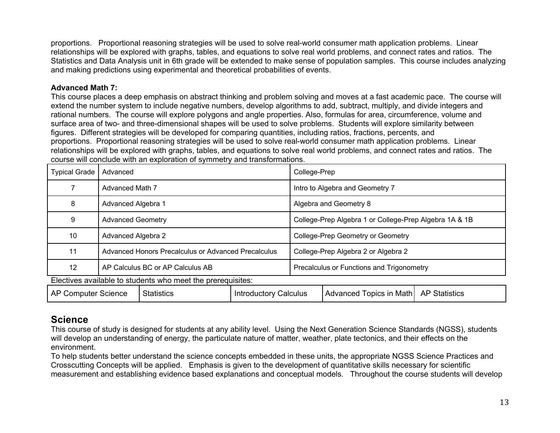proportions. Proportional reasoning strategies will be used to solve real-world consumer math application problems. Linear relationships will be explored with graphs, tables, and equations to solve real world problems, and connect rates and ratios. The Statistics and Data Analysis unit in 6th grade will be extended to make sense of population samples. This course includes analyzing and making predictions using experimental and theoretical probabilities of events.

#### **Advanced Math 7:**

This course places a deep emphasis on abstract thinking and problem solving and moves at a fast academic pace. The course will extend the number system to include negative numbers, develop algorithms to add, subtract, multiply, and divide integers and rational numbers. The course will explore polygons and angle properties. Also, formulas for area, circumference, volume and surface area of two- and three-dimensional shapes will be used to solve problems. Students will explore similarity between figures. Different strategies will be developed for comparing quantities, including ratios, fractions, percents, and proportions. Proportional reasoning strategies will be used to solve real-world consumer math application problems. Linear relationships will be explored with graphs, tables, and equations to solve real world problems, and connect rates and ratios. The course will conclude with an exploration of symmetry and transformations.

| <b>Typical Grade</b>                                        | Advanced                                            |  | College-Prep                                           |                         |                      |
|-------------------------------------------------------------|-----------------------------------------------------|--|--------------------------------------------------------|-------------------------|----------------------|
|                                                             | Advanced Math 7                                     |  | Intro to Algebra and Geometry 7                        |                         |                      |
| 8                                                           | Advanced Algebra 1                                  |  | Algebra and Geometry 8                                 |                         |                      |
| 9                                                           | <b>Advanced Geometry</b>                            |  | College-Prep Algebra 1 or College-Prep Algebra 1A & 1B |                         |                      |
| 10                                                          | Advanced Algebra 2                                  |  | College-Prep Geometry or Geometry                      |                         |                      |
| 11                                                          | Advanced Honors Precalculus or Advanced Precalculus |  | College-Prep Algebra 2 or Algebra 2                    |                         |                      |
| $12 \overline{ }$                                           | AP Calculus BC or AP Calculus AB                    |  | Precalculus or Functions and Trigonometry              |                         |                      |
| Electives available to students who meet the prerequisites: |                                                     |  |                                                        |                         |                      |
| <b>AP Computer Science</b>                                  | <b>Statistics</b><br><b>Introductory Calculus</b>   |  |                                                        | Advanced Topics in Math | <b>AP Statistics</b> |

### **Science**

This course of study is designed for students at any ability level. Using the Next Generation Science Standards (NGSS), students will develop an understanding of energy, the particulate nature of matter, weather, plate tectonics, and their effects on the environment.

To help students better understand the science concepts embedded in these units, the appropriate NGSS Science Practices and Crosscutting Concepts will be applied. Emphasis is given to the development of quantitative skills necessary for scientific measurement and establishing evidence based explanations and conceptual models. Throughout the course students will develop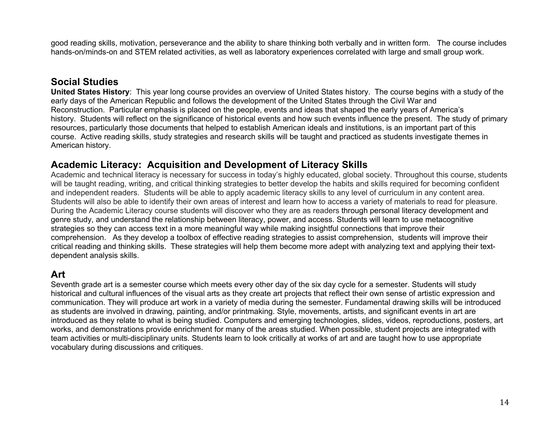good reading skills, motivation, perseverance and the ability to share thinking both verbally and in written form. The course includes hands-on/minds-on and STEM related activities, as well as laboratory experiences correlated with large and small group work.

### **Social Studies**

**United States History**: This year long course provides an overview of United States history. The course begins with a study of the early days of the American Republic and follows the development of the United States through the Civil War and Reconstruction. Particular emphasis is placed on the people, events and ideas that shaped the early years of America's history. Students will reflect on the significance of historical events and how such events influence the present. The study of primary resources, particularly those documents that helped to establish American ideals and institutions, is an important part of this course. Active reading skills, study strategies and research skills will be taught and practiced as students investigate themes in American history.

### **Academic Literacy: Acquisition and Development of Literacy Skills**

Academic and technical literacy is necessary for success in today's highly educated, global society. Throughout this course, students will be taught reading, writing, and critical thinking strategies to better develop the habits and skills required for becoming confident and independent readers. Students will be able to apply academic literacy skills to any level of curriculum in any content area. Students will also be able to identify their own areas of interest and learn how to access a variety of materials to read for pleasure. During the Academic Literacy course students will discover who they are as readers through personal literacy development and genre study, and understand the relationship between literacy, power, and access. Students will learn to use metacognitive strategies so they can access text in a more meaningful way while making insightful connections that improve their comprehension. As they develop a toolbox of effective reading strategies to assist comprehension, students will improve their critical reading and thinking skills. These strategies will help them become more adept with analyzing text and applying their textdependent analysis skills.

### **Art**

Seventh grade art is a semester course which meets every other day of the six day cycle for a semester. Students will study historical and cultural influences of the visual arts as they create art projects that reflect their own sense of artistic expression and communication. They will produce art work in a variety of media during the semester. Fundamental drawing skills will be introduced as students are involved in drawing, painting, and/or printmaking. Style, movements, artists, and significant events in art are introduced as they relate to what is being studied. Computers and emerging technologies, slides, videos, reproductions, posters, art works, and demonstrations provide enrichment for many of the areas studied. When possible, student projects are integrated with team activities or multi-disciplinary units. Students learn to look critically at works of art and are taught how to use appropriate vocabulary during discussions and critiques.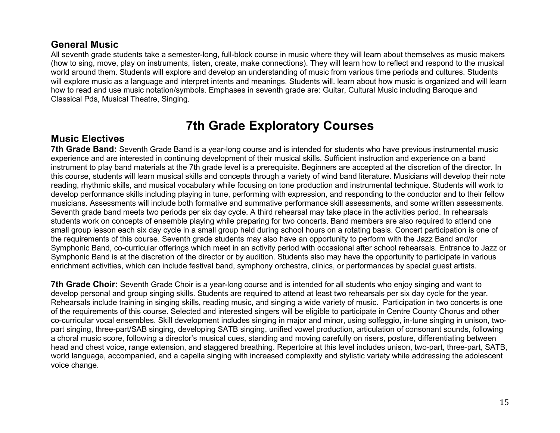### **General Music**

All seventh grade students take a semester-long, full-block course in music where they will learn about themselves as music makers (how to sing, move, play on instruments, listen, create, make connections). They will learn how to reflect and respond to the musical world around them. Students will explore and develop an understanding of music from various time periods and cultures. Students will explore music as a language and interpret intents and meanings. Students will. learn about how music is organized and will learn how to read and use music notation/symbols. Emphases in seventh grade are: Guitar, Cultural Music including Baroque and Classical Pds, Musical Theatre, Singing.

## **7th Grade Exploratory Courses**

### **Music Electives**

**7th Grade Band:** Seventh Grade Band is a year-long course and is intended for students who have previous instrumental music experience and are interested in continuing development of their musical skills. Sufficient instruction and experience on a band instrument to play band materials at the 7th grade level is a prerequisite. Beginners are accepted at the discretion of the director. In this course, students will learn musical skills and concepts through a variety of wind band literature. Musicians will develop their note reading, rhythmic skills, and musical vocabulary while focusing on tone production and instrumental technique. Students will work to develop performance skills including playing in tune, performing with expression, and responding to the conductor and to their fellow musicians. Assessments will include both formative and summative performance skill assessments, and some written assessments. Seventh grade band meets two periods per six day cycle. A third rehearsal may take place in the activities period. In rehearsals students work on concepts of ensemble playing while preparing for two concerts. Band members are also required to attend one small group lesson each six day cycle in a small group held during school hours on a rotating basis. Concert participation is one of the requirements of this course. Seventh grade students may also have an opportunity to perform with the Jazz Band and/or Symphonic Band, co-curricular offerings which meet in an activity period with occasional after school rehearsals. Entrance to Jazz or Symphonic Band is at the discretion of the director or by audition. Students also may have the opportunity to participate in various enrichment activities, which can include festival band, symphony orchestra, clinics, or performances by special guest artists.

**7th Grade Choir:** Seventh Grade Choir is a year-long course and is intended for all students who enjoy singing and want to develop personal and group singing skills. Students are required to attend at least two rehearsals per six day cycle for the year. Rehearsals include training in singing skills, reading music, and singing a wide variety of music. Participation in two concerts is one of the requirements of this course. Selected and interested singers will be eligible to participate in Centre County Chorus and other co-curricular vocal ensembles. Skill development includes singing in major and minor, using solfeggio, in-tune singing in unison, twopart singing, three-part/SAB singing, developing SATB singing, unified vowel production, articulation of consonant sounds, following a choral music score, following a director's musical cues, standing and moving carefully on risers, posture, differentiating between head and chest voice, range extension, and staggered breathing. Repertoire at this level includes unison, two-part, three-part, SATB, world language, accompanied, and a capella singing with increased complexity and stylistic variety while addressing the adolescent voice change.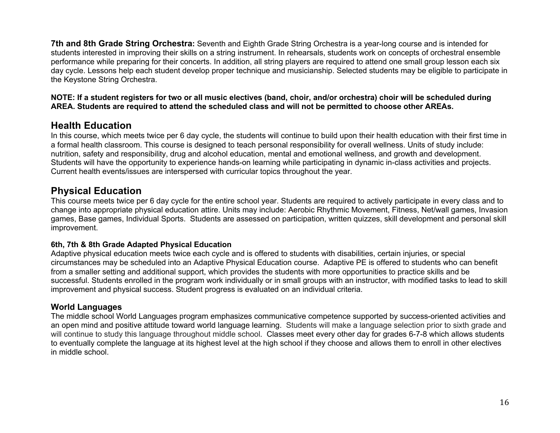**7th and 8th Grade String Orchestra:** Seventh and Eighth Grade String Orchestra is a year-long course and is intended for students interested in improving their skills on a string instrument. In rehearsals, students work on concepts of orchestral ensemble performance while preparing for their concerts. In addition, all string players are required to attend one small group lesson each six day cycle. Lessons help each student develop proper technique and musicianship. Selected students may be eligible to participate in the Keystone String Orchestra.

**NOTE: If a student registers for two or all music electives (band, choir, and/or orchestra) choir will be scheduled during AREA. Students are required to attend the scheduled class and will not be permitted to choose other AREAs.** 

### **Health Education**

In this course, which meets twice per 6 day cycle, the students will continue to build upon their health education with their first time in a formal health classroom. This course is designed to teach personal responsibility for overall wellness. Units of study include: nutrition, safety and responsibility, drug and alcohol education, mental and emotional wellness, and growth and development. Students will have the opportunity to experience hands-on learning while participating in dynamic in-class activities and projects. Current health events/issues are interspersed with curricular topics throughout the year.

### **Physical Education**

This course meets twice per 6 day cycle for the entire school year. Students are required to actively participate in every class and to change into appropriate physical education attire. Units may include: Aerobic Rhythmic Movement, Fitness, Net/wall games, Invasion games, Base games, Individual Sports. Students are assessed on participation, written quizzes, skill development and personal skill improvement.

#### **6th, 7th & 8th Grade Adapted Physical Education**

Adaptive physical education meets twice each cycle and is offered to students with disabilities, certain injuries, or special circumstances may be scheduled into an Adaptive Physical Education course. Adaptive PE is offered to students who can benefit from a smaller setting and additional support, which provides the students with more opportunities to practice skills and be successful. Students enrolled in the program work individually or in small groups with an instructor, with modified tasks to lead to skill improvement and physical success. Student progress is evaluated on an individual criteria.

### **World Languages**

The middle school World Languages program emphasizes communicative competence supported by success-oriented activities and an open mind and positive attitude toward world language learning. Students will make a language selection prior to sixth grade and will continue to study this language throughout middle school. Classes meet every other day for grades 6-7-8 which allows students to eventually complete the language at its highest level at the high school if they choose and allows them to enroll in other electives in middle school.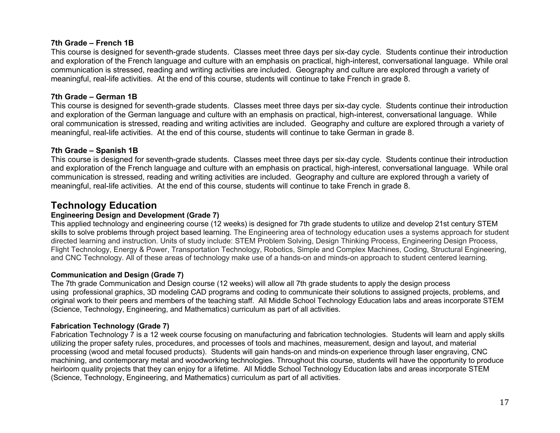#### **7th Grade – French 1B**

This course is designed for seventh-grade students. Classes meet three days per six-day cycle. Students continue their introduction and exploration of the French language and culture with an emphasis on practical, high-interest, conversational language. While oral communication is stressed, reading and writing activities are included. Geography and culture are explored through a variety of meaningful, real-life activities. At the end of this course, students will continue to take French in grade 8.

#### **7th Grade – German 1B**

This course is designed for seventh-grade students. Classes meet three days per six-day cycle. Students continue their introduction and exploration of the German language and culture with an emphasis on practical, high-interest, conversational language. While oral communication is stressed, reading and writing activities are included. Geography and culture are explored through a variety of meaningful, real-life activities. At the end of this course, students will continue to take German in grade 8.

#### **7th Grade – Spanish 1B**

This course is designed for seventh-grade students. Classes meet three days per six-day cycle. Students continue their introduction and exploration of the French language and culture with an emphasis on practical, high-interest, conversational language. While oral communication is stressed, reading and writing activities are included. Geography and culture are explored through a variety of meaningful, real-life activities. At the end of this course, students will continue to take French in grade 8.

### **Technology Education**

#### **Engineering Design and Development (Grade 7)**

This applied technology and engineering course (12 weeks) is designed for 7th grade students to utilize and develop 21st century STEM skills to solve problems through project based learning. The Engineering area of technology education uses a systems approach for student directed learning and instruction. Units of study include: STEM Problem Solving, Design Thinking Process, Engineering Design Process, Flight Technology, Energy & Power, Transportation Technology, Robotics, Simple and Complex Machines, Coding, Structural Engineering, and CNC Technology. All of these areas of technology make use of a hands-on and minds-on approach to student centered learning.

#### **Communication and Design (Grade 7)**

The 7th grade Communication and Design course (12 weeks) will allow all 7th grade students to apply the design process using professional graphics, 3D modeling CAD programs and coding to communicate their solutions to assigned projects, problems, and original work to their peers and members of the teaching staff. All Middle School Technology Education labs and areas incorporate STEM (Science, Technology, Engineering, and Mathematics) curriculum as part of all activities.

#### **Fabrication Technology (Grade 7)**

Fabrication Technology 7 is a 12 week course focusing on manufacturing and fabrication technologies. Students will learn and apply skills utilizing the proper safety rules, procedures, and processes of tools and machines, measurement, design and layout, and material processing (wood and metal focused products). Students will gain hands-on and minds-on experience through laser engraving, CNC machining, and contemporary metal and woodworking technologies. Throughout this course, students will have the opportunity to produce heirloom quality projects that they can enjoy for a lifetime. All Middle School Technology Education labs and areas incorporate STEM (Science, Technology, Engineering, and Mathematics) curriculum as part of all activities.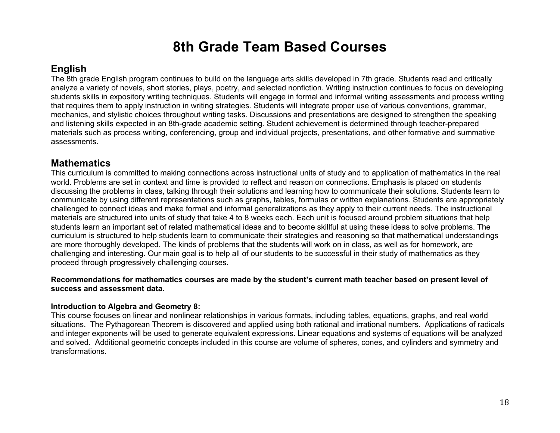## **8th Grade Team Based Courses**

### **English**

The 8th grade English program continues to build on the language arts skills developed in 7th grade. Students read and critically analyze a variety of novels, short stories, plays, poetry, and selected nonfiction. Writing instruction continues to focus on developing students skills in expository writing techniques. Students will engage in formal and informal writing assessments and process writing that requires them to apply instruction in writing strategies. Students will integrate proper use of various conventions, grammar, mechanics, and stylistic choices throughout writing tasks. Discussions and presentations are designed to strengthen the speaking and listening skills expected in an 8th-grade academic setting. Student achievement is determined through teacher-prepared materials such as process writing, conferencing, group and individual projects, presentations, and other formative and summative assessments.

### **Mathematics**

This curriculum is committed to making connections across instructional units of study and to application of mathematics in the real world. Problems are set in context and time is provided to reflect and reason on connections. Emphasis is placed on students discussing the problems in class, talking through their solutions and learning how to communicate their solutions. Students learn to communicate by using different representations such as graphs, tables, formulas or written explanations. Students are appropriately challenged to connect ideas and make formal and informal generalizations as they apply to their current needs. The instructional materials are structured into units of study that take 4 to 8 weeks each. Each unit is focused around problem situations that help students learn an important set of related mathematical ideas and to become skillful at using these ideas to solve problems. The curriculum is structured to help students learn to communicate their strategies and reasoning so that mathematical understandings are more thoroughly developed. The kinds of problems that the students will work on in class, as well as for homework, are challenging and interesting. Our main goal is to help all of our students to be successful in their study of mathematics as they proceed through progressively challenging courses.

#### **Recommendations for mathematics courses are made by the student's current math teacher based on present level of success and assessment data.**

### **Introduction to Algebra and Geometry 8:**

This course focuses on linear and nonlinear relationships in various formats, including tables, equations, graphs, and real world situations. The Pythagorean Theorem is discovered and applied using both rational and irrational numbers. Applications of radicals and integer exponents will be used to generate equivalent expressions. Linear equations and systems of equations will be analyzed and solved. Additional geometric concepts included in this course are volume of spheres, cones, and cylinders and symmetry and transformations.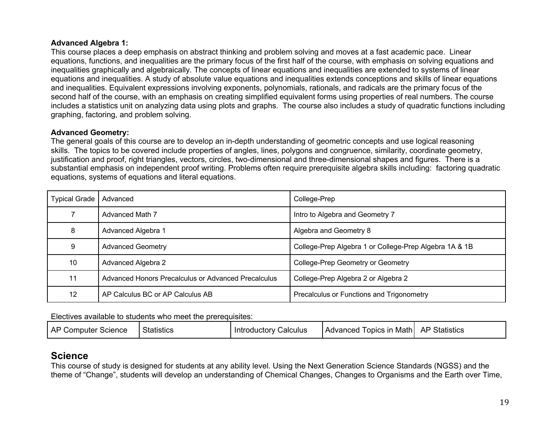#### **Advanced Algebra 1:**

This course places a deep emphasis on abstract thinking and problem solving and moves at a fast academic pace. Linear equations, functions, and inequalities are the primary focus of the first half of the course, with emphasis on solving equations and inequalities graphically and algebraically. The concepts of linear equations and inequalities are extended to systems of linear equations and inequalities. A study of absolute value equations and inequalities extends conceptions and skills of linear equations and inequalities. Equivalent expressions involving exponents, polynomials, rationals, and radicals are the primary focus of the second half of the course, with an emphasis on creating simplified equivalent forms using properties of real numbers. The course includes a statistics unit on analyzing data using plots and graphs. The course also includes a study of quadratic functions including graphing, factoring, and problem solving.

#### **Advanced Geometry:**

The general goals of this course are to develop an in-depth understanding of geometric concepts and use logical reasoning skills. The topics to be covered include properties of angles, lines, polygons and congruence, similarity, coordinate geometry, justification and proof, right triangles, vectors, circles, two-dimensional and three-dimensional shapes and figures. There is a substantial emphasis on independent proof writing. Problems often require prerequisite algebra skills including: factoring quadratic equations, systems of equations and literal equations.

| Typical Grade | Advanced                                            | College-Prep                                           |
|---------------|-----------------------------------------------------|--------------------------------------------------------|
|               | Advanced Math 7                                     | Intro to Algebra and Geometry 7                        |
| 8             | Advanced Algebra 1                                  | Algebra and Geometry 8                                 |
| 9             | <b>Advanced Geometry</b>                            | College-Prep Algebra 1 or College-Prep Algebra 1A & 1B |
| 10            | Advanced Algebra 2                                  | College-Prep Geometry or Geometry                      |
| 11            | Advanced Honors Precalculus or Advanced Precalculus | College-Prep Algebra 2 or Algebra 2                    |
| 12            | AP Calculus BC or AP Calculus AB                    | Precalculus or Functions and Trigonometry              |

#### Electives available to students who meet the prerequisites:

| <b>AP Computer Science</b> | <b>Statistics</b> | Calculus<br>Introductory | Advanced Topics in Math | <b>AP Statistics</b> |
|----------------------------|-------------------|--------------------------|-------------------------|----------------------|
|----------------------------|-------------------|--------------------------|-------------------------|----------------------|

### **Science**

This course of study is designed for students at any ability level. Using the Next Generation Science Standards (NGSS) and the theme of "Change", students will develop an understanding of Chemical Changes, Changes to Organisms and the Earth over Time,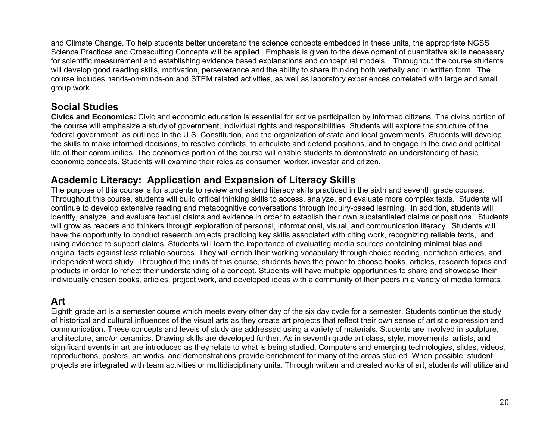and Climate Change. To help students better understand the science concepts embedded in these units, the appropriate NGSS Science Practices and Crosscutting Concepts will be applied. Emphasis is given to the development of quantitative skills necessary for scientific measurement and establishing evidence based explanations and conceptual models. Throughout the course students will develop good reading skills, motivation, perseverance and the ability to share thinking both verbally and in written form. The course includes hands-on/minds-on and STEM related activities, as well as laboratory experiences correlated with large and small group work.

### **Social Studies**

**Civics and Economics:** Civic and economic education is essential for active participation by informed citizens. The civics portion of the course will emphasize a study of government, individual rights and responsibilities. Students will explore the structure of the federal government, as outlined in the U.S. Constitution, and the organization of state and local governments. Students will develop the skills to make informed decisions, to resolve conflicts, to articulate and defend positions, and to engage in the civic and political life of their communities. The economics portion of the course will enable students to demonstrate an understanding of basic economic concepts. Students will examine their roles as consumer, worker, investor and citizen.

### **Academic Literacy: Application and Expansion of Literacy Skills**

The purpose of this course is for students to review and extend literacy skills practiced in the sixth and seventh grade courses. Throughout this course, students will build critical thinking skills to access, analyze, and evaluate more complex texts. Students will continue to develop extensive reading and metacognitive conversations through inquiry-based learning. In addition, students will identify, analyze, and evaluate textual claims and evidence in order to establish their own substantiated claims or positions. Students will grow as readers and thinkers through exploration of personal, informational, visual, and communication literacy. Students will have the opportunity to conduct research projects practicing key skills associated with citing work, recognizing reliable texts, and using evidence to support claims. Students will learn the importance of evaluating media sources containing minimal bias and original facts against less reliable sources. They will enrich their working vocabulary through choice reading, nonfiction articles, and independent word study. Throughout the units of this course, students have the power to choose books, articles, research topics and products in order to reflect their understanding of a concept. Students will have multiple opportunities to share and showcase their individually chosen books, articles, project work, and developed ideas with a community of their peers in a variety of media formats.

### **Art**

Eighth grade art is a semester course which meets every other day of the six day cycle for a semester. Students continue the study of historical and cultural influences of the visual arts as they create art projects that reflect their own sense of artistic expression and communication. These concepts and levels of study are addressed using a variety of materials. Students are involved in sculpture, architecture, and/or ceramics. Drawing skills are developed further. As in seventh grade art class, style, movements, artists, and significant events in art are introduced as they relate to what is being studied. Computers and emerging technologies, slides, videos, reproductions, posters, art works, and demonstrations provide enrichment for many of the areas studied. When possible, student projects are integrated with team activities or multidisciplinary units. Through written and created works of art, students will utilize and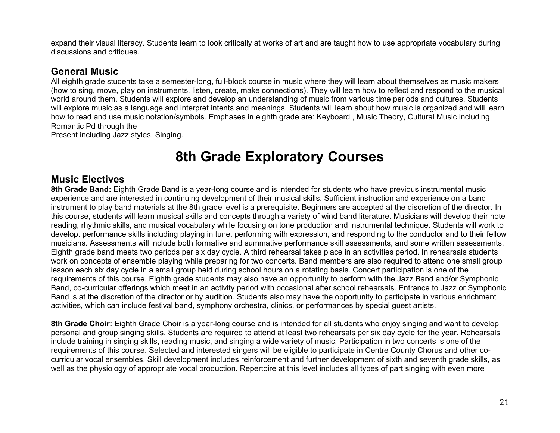expand their visual literacy. Students learn to look critically at works of art and are taught how to use appropriate vocabulary during discussions and critiques.

### **General Music**

All eighth grade students take a semester-long, full-block course in music where they will learn about themselves as music makers (how to sing, move, play on instruments, listen, create, make connections). They will learn how to reflect and respond to the musical world around them. Students will explore and develop an understanding of music from various time periods and cultures. Students will explore music as a language and interpret intents and meanings. Students will learn about how music is organized and will learn how to read and use music notation/symbols. Emphases in eighth grade are: Keyboard , Music Theory, Cultural Music including Romantic Pd through the

Present including Jazz styles, Singing.

## **8th Grade Exploratory Courses**

### **Music Electives**

**8th Grade Band:** Eighth Grade Band is a year-long course and is intended for students who have previous instrumental music experience and are interested in continuing development of their musical skills. Sufficient instruction and experience on a band instrument to play band materials at the 8th grade level is a prerequisite. Beginners are accepted at the discretion of the director. In this course, students will learn musical skills and concepts through a variety of wind band literature. Musicians will develop their note reading, rhythmic skills, and musical vocabulary while focusing on tone production and instrumental technique. Students will work to develop. performance skills including playing in tune, performing with expression, and responding to the conductor and to their fellow musicians. Assessments will include both formative and summative performance skill assessments, and some written assessments. Eighth grade band meets two periods per six day cycle. A third rehearsal takes place in an activities period. In rehearsals students work on concepts of ensemble playing while preparing for two concerts. Band members are also required to attend one small group lesson each six day cycle in a small group held during school hours on a rotating basis. Concert participation is one of the requirements of this course. Eighth grade students may also have an opportunity to perform with the Jazz Band and/or Symphonic Band, co-curricular offerings which meet in an activity period with occasional after school rehearsals. Entrance to Jazz or Symphonic Band is at the discretion of the director or by audition. Students also may have the opportunity to participate in various enrichment activities, which can include festival band, symphony orchestra, clinics, or performances by special guest artists.

**8th Grade Choir:** Eighth Grade Choir is a year-long course and is intended for all students who enjoy singing and want to develop personal and group singing skills. Students are required to attend at least two rehearsals per six day cycle for the year. Rehearsals include training in singing skills, reading music, and singing a wide variety of music. Participation in two concerts is one of the requirements of this course. Selected and interested singers will be eligible to participate in Centre County Chorus and other cocurricular vocal ensembles. Skill development includes reinforcement and further development of sixth and seventh grade skills, as well as the physiology of appropriate vocal production. Repertoire at this level includes all types of part singing with even more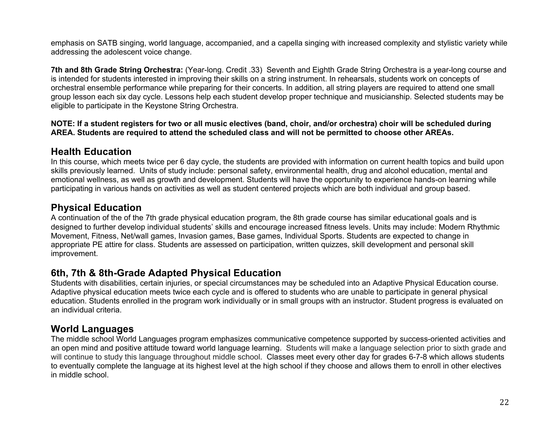emphasis on SATB singing, world language, accompanied, and a capella singing with increased complexity and stylistic variety while addressing the adolescent voice change.

**7th and 8th Grade String Orchestra:** (Year-long. Credit .33) Seventh and Eighth Grade String Orchestra is a year-long course and is intended for students interested in improving their skills on a string instrument. In rehearsals, students work on concepts of orchestral ensemble performance while preparing for their concerts. In addition, all string players are required to attend one small group lesson each six day cycle. Lessons help each student develop proper technique and musicianship. Selected students may be eligible to participate in the Keystone String Orchestra.

#### **NOTE: If a student registers for two or all music electives (band, choir, and/or orchestra) choir will be scheduled during AREA. Students are required to attend the scheduled class and will not be permitted to choose other AREAs.**

### **Health Education**

In this course, which meets twice per 6 day cycle, the students are provided with information on current health topics and build upon skills previously learned. Units of study include: personal safety, environmental health, drug and alcohol education, mental and emotional wellness, as well as growth and development. Students will have the opportunity to experience hands-on learning while participating in various hands on activities as well as student centered projects which are both individual and group based.

### **Physical Education**

A continuation of the of the 7th grade physical education program, the 8th grade course has similar educational goals and is designed to further develop individual students' skills and encourage increased fitness levels. Units may include: Modern Rhythmic Movement, Fitness, Net/wall games, Invasion games, Base games, Individual Sports. Students are expected to change in appropriate PE attire for class. Students are assessed on participation, written quizzes, skill development and personal skill improvement.

### **6th, 7th & 8th-Grade Adapted Physical Education**

Students with disabilities, certain injuries, or special circumstances may be scheduled into an Adaptive Physical Education course. Adaptive physical education meets twice each cycle and is offered to students who are unable to participate in general physical education. Students enrolled in the program work individually or in small groups with an instructor. Student progress is evaluated on an individual criteria.

### **World Languages**

The middle school World Languages program emphasizes communicative competence supported by success-oriented activities and an open mind and positive attitude toward world language learning. Students will make a language selection prior to sixth grade and will continue to study this language throughout middle school. Classes meet every other day for grades 6-7-8 which allows students to eventually complete the language at its highest level at the high school if they choose and allows them to enroll in other electives in middle school.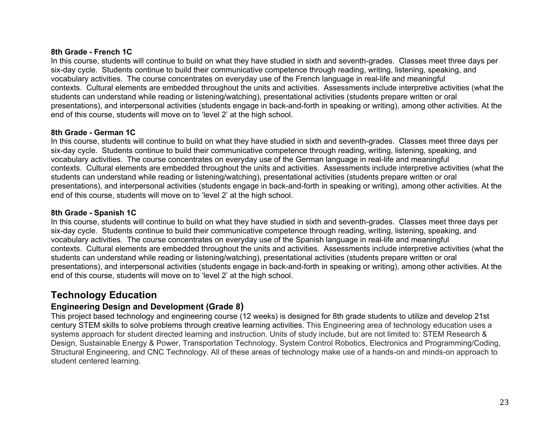#### **8th Grade - French 1C**

In this course, students will continue to build on what they have studied in sixth and seventh-grades. Classes meet three days per six-day cycle. Students continue to build their communicative competence through reading, writing, listening, speaking, and vocabulary activities. The course concentrates on everyday use of the French language in real-life and meaningful contexts. Cultural elements are embedded throughout the units and activities. Assessments include interpretive activities (what the students can understand while reading or listening/watching), presentational activities (students prepare written or oral presentations), and interpersonal activities (students engage in back-and-forth in speaking or writing), among other activities. At the end of this course, students will move on to 'level 2' at the high school.

#### **8th Grade - German 1C**

In this course, students will continue to build on what they have studied in sixth and seventh-grades. Classes meet three days per six-day cycle. Students continue to build their communicative competence through reading, writing, listening, speaking, and vocabulary activities. The course concentrates on everyday use of the German language in real-life and meaningful contexts. Cultural elements are embedded throughout the units and activities. Assessments include interpretive activities (what the students can understand while reading or listening/watching), presentational activities (students prepare written or oral presentations), and interpersonal activities (students engage in back-and-forth in speaking or writing), among other activities. At the end of this course, students will move on to 'level 2' at the high school.

#### **8th Grade - Spanish 1C**

In this course, students will continue to build on what they have studied in sixth and seventh-grades. Classes meet three days per six-day cycle. Students continue to build their communicative competence through reading, writing, listening, speaking, and vocabulary activities. The course concentrates on everyday use of the Spanish language in real-life and meaningful contexts. Cultural elements are embedded throughout the units and activities. Assessments include interpretive activities (what the students can understand while reading or listening/watching), presentational activities (students prepare written or oral presentations), and interpersonal activities (students engage in back-and-forth in speaking or writing), among other activities. At the end of this course, students will move on to 'level 2' at the high school.

### **Technology Education**

### **Engineering Design and Development (Grade 8)**

This project based technology and engineering course (12 weeks) is designed for 8th grade students to utilize and develop 21st century STEM skills to solve problems through creative learning activities. This Engineering area of technology education uses a systems approach for student directed learning and instruction. Units of study include, but are not limited to: STEM Research & Design, Sustainable Energy & Power, Transportation Technology, System Control Robotics, Electronics and Programming/Coding, Structural Engineering, and CNC Technology. All of these areas of technology make use of a hands-on and minds-on approach to student centered learning.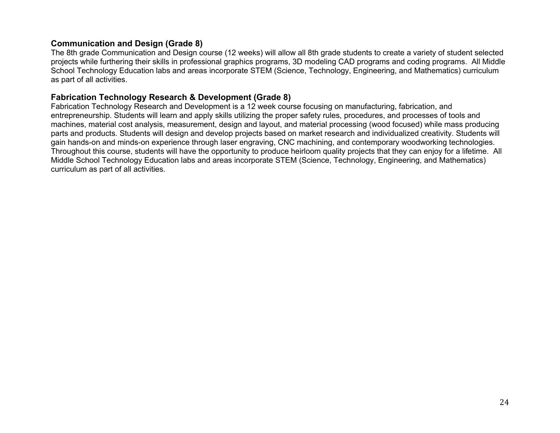#### **Communication and Design (Grade 8)**

The 8th grade Communication and Design course (12 weeks) will allow all 8th grade students to create a variety of student selected projects while furthering their skills in professional graphics programs, 3D modeling CAD programs and coding programs. All Middle School Technology Education labs and areas incorporate STEM (Science, Technology, Engineering, and Mathematics) curriculum as part of all activities.

#### **Fabrication Technology Research & Development (Grade 8)**

Fabrication Technology Research and Development is a 12 week course focusing on manufacturing, fabrication, and entrepreneurship. Students will learn and apply skills utilizing the proper safety rules, procedures, and processes of tools and machines, material cost analysis, measurement, design and layout, and material processing (wood focused) while mass producing parts and products. Students will design and develop projects based on market research and individualized creativity. Students will gain hands-on and minds-on experience through laser engraving, CNC machining, and contemporary woodworking technologies. Throughout this course, students will have the opportunity to produce heirloom quality projects that they can enjoy for a lifetime. All Middle School Technology Education labs and areas incorporate STEM (Science, Technology, Engineering, and Mathematics) curriculum as part of all activities.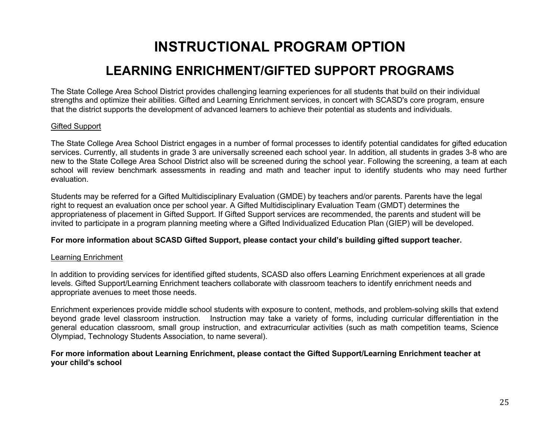## **INSTRUCTIONAL PROGRAM OPTION**

## **LEARNING ENRICHMENT/GIFTED SUPPORT PROGRAMS**

The State College Area School District provides challenging learning experiences for all students that build on their individual strengths and optimize their abilities. Gifted and Learning Enrichment services, in concert with SCASD's core program, ensure that the district supports the development of advanced learners to achieve their potential as students and individuals.

#### Gifted Support

The State College Area School District engages in a number of formal processes to identify potential candidates for gifted education services. Currently, all students in grade 3 are universally screened each school year. In addition, all students in grades 3-8 who are new to the State College Area School District also will be screened during the school year. Following the screening, a team at each school will review benchmark assessments in reading and math and teacher input to identify students who may need further evaluation.

Students may be referred for a Gifted Multidisciplinary Evaluation (GMDE) by teachers and/or parents. Parents have the legal right to request an evaluation once per school year. A Gifted Multidisciplinary Evaluation Team (GMDT) determines the appropriateness of placement in Gifted Support. If Gifted Support services are recommended, the parents and student will be invited to participate in a program planning meeting where a Gifted Individualized Education Plan (GIEP) will be developed.

#### **For more information about SCASD Gifted Support, please contact your child's building gifted support teacher.**

#### Learning Enrichment

In addition to providing services for identified gifted students, SCASD also offers Learning Enrichment experiences at all grade levels. Gifted Support/Learning Enrichment teachers collaborate with classroom teachers to identify enrichment needs and appropriate avenues to meet those needs.

Enrichment experiences provide middle school students with exposure to content, methods, and problem-solving skills that extend beyond grade level classroom instruction. Instruction may take a variety of forms, including curricular differentiation in the general education classroom, small group instruction, and extracurricular activities (such as math competition teams, Science Olympiad, Technology Students Association, to name several).

#### **For more information about Learning Enrichment, please contact the Gifted Support/Learning Enrichment teacher at your child's school**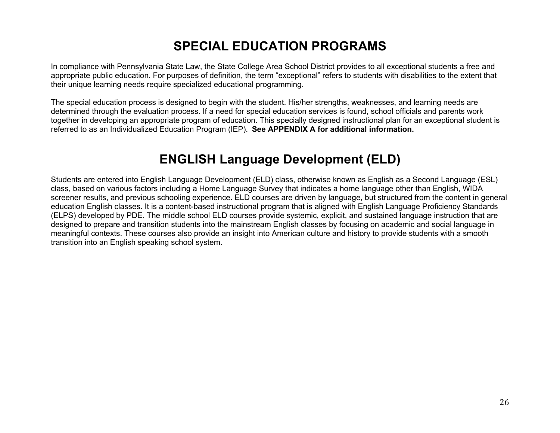## **SPECIAL EDUCATION PROGRAMS**

In compliance with Pennsylvania State Law, the State College Area School District provides to all exceptional students a free and appropriate public education. For purposes of definition, the term "exceptional" refers to students with disabilities to the extent that their unique learning needs require specialized educational programming.

The special education process is designed to begin with the student. His/her strengths, weaknesses, and learning needs are determined through the evaluation process. If a need for special education services is found, school officials and parents work together in developing an appropriate program of education. This specially designed instructional plan for an exceptional student is referred to as an Individualized Education Program (IEP). **See APPENDIX A for additional information.**

## **ENGLISH Language Development (ELD)**

Students are entered into English Language Development (ELD) class, otherwise known as English as a Second Language (ESL) class, based on various factors including a Home Language Survey that indicates a home language other than English, WIDA screener results, and previous schooling experience. ELD courses are driven by language, but structured from the content in general education English classes. It is a content-based instructional program that is aligned with English Language Proficiency Standards (ELPS) developed by PDE. The middle school ELD courses provide systemic, explicit, and sustained language instruction that are designed to prepare and transition students into the mainstream English classes by focusing on academic and social language in meaningful contexts. These courses also provide an insight into American culture and history to provide students with a smooth transition into an English speaking school system.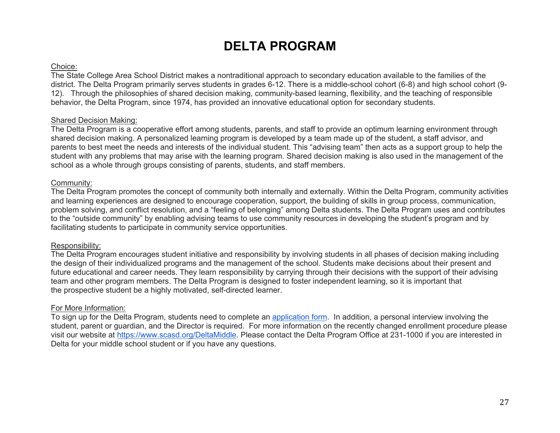## **DELTA PROGRAM**

#### Choice:

The State College Area School District makes a nontraditional approach to secondary education available to the families of the district. The Delta Program primarily serves students in grades 6-12. There is a middle-school cohort (6-8) and high school cohort (9- 12). Through the philosophies of shared decision making, community-based learning, flexibility, and the teaching of responsible behavior, the Delta Program, since 1974, has provided an innovative educational option for secondary students.

#### Shared Decision Making:

The Delta Program is a cooperative effort among students, parents, and staff to provide an optimum learning environment through shared decision making. A personalized learning program is developed by a team made up of the student, a staff advisor, and parents to best meet the needs and interests of the individual student. This "advising team" then acts as a support group to help the student with any problems that may arise with the learning program. Shared decision making is also used in the management of the school as a whole through groups consisting of parents, students, and staff members.

#### Community:

The Delta Program promotes the concept of community both internally and externally. Within the Delta Program, community activities and learning experiences are designed to encourage cooperation, support, the building of skills in group process, communication, problem solving, and conflict resolution, and a "feeling of belonging" among Delta students. The Delta Program uses and contributes to the "outside community" by enabling advising teams to use community resources in developing the student's program and by facilitating students to participate in community service opportunities.

#### Responsibility:

The Delta Program encourages student initiative and responsibility by involving students in all phases of decision making including the design of their individualized programs and the management of the school. Students make decisions about their present and future educational and career needs. They learn responsibility by carrying through their decisions with the support of their advising team and other program members. The Delta Program is designed to foster independent learning, so it is important that the prospective student be a highly motivated, self-directed learner.

#### For More Information:

To sign up for the Delta Program, students need to complete an application form. In addition, a personal interview involving the student, parent or guardian, and the Director is required. For more information on the recently changed enrollment procedure please visit our website at https://www.scasd.org/DeltaMiddle. Please contact the Delta Program Office at 231-1000 if you are interested in Delta for your middle school student or if you have any questions.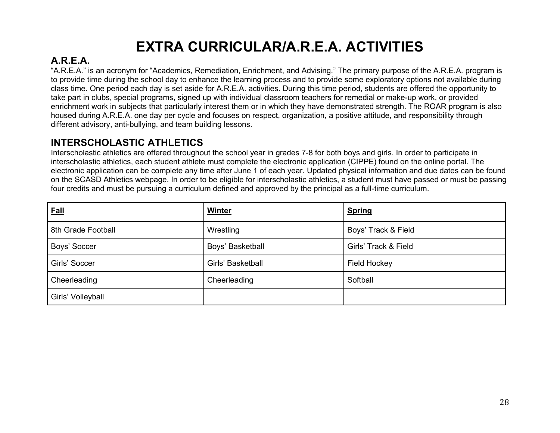# **EXTRA CURRICULAR/A.R.E.A. ACTIVITIES**

### **A.R.E.A.**

"A.R.E.A." is an acronym for "Academics, Remediation, Enrichment, and Advising." The primary purpose of the A.R.E.A. program is to provide time during the school day to enhance the learning process and to provide some exploratory options not available during class time. One period each day is set aside for A.R.E.A. activities. During this time period, students are offered the opportunity to take part in clubs, special programs, signed up with individual classroom teachers for remedial or make-up work, or provided enrichment work in subjects that particularly interest them or in which they have demonstrated strength. The ROAR program is also housed during A.R.E.A. one day per cycle and focuses on respect, organization, a positive attitude, and responsibility through different advisory, anti-bullying, and team building lessons.

### **INTERSCHOLASTIC ATHLETICS**

Interscholastic athletics are offered throughout the school year in grades 7-8 for both boys and girls. In order to participate in interscholastic athletics, each student athlete must complete the electronic application (CIPPE) found on the online portal. The electronic application can be complete any time after June 1 of each year. Updated physical information and due dates can be found on the SCASD Athletics webpage. In order to be eligible for interscholastic athletics, a student must have passed or must be passing four credits and must be pursuing a curriculum defined and approved by the principal as a full-time curriculum.

| <b>Eall</b>        | <b>Winter</b>     | <b>Spring</b>        |
|--------------------|-------------------|----------------------|
| 8th Grade Football | Wrestling         | Boys' Track & Field  |
| Boys' Soccer       | Boys' Basketball  | Girls' Track & Field |
| Girls' Soccer      | Girls' Basketball | <b>Field Hockey</b>  |
| Cheerleading       | Cheerleading      | Softball             |
| Girls' Volleyball  |                   |                      |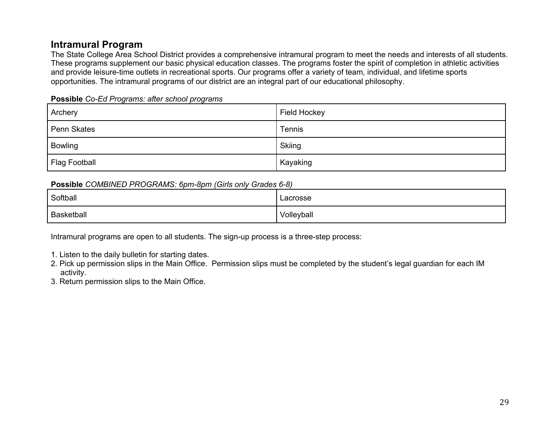### **Intramural Program**

The State College Area School District provides a comprehensive intramural program to meet the needs and interests of all students. These programs supplement our basic physical education classes. The programs foster the spirit of completion in athletic activities and provide leisure-time outlets in recreational sports. Our programs offer a variety of team, individual, and lifetime sports opportunities. The intramural programs of our district are an integral part of our educational philosophy.

|  | Possible Co-Ed Programs: after school programs |  |  |
|--|------------------------------------------------|--|--|
|  |                                                |  |  |

| Archery              | Field Hockey |
|----------------------|--------------|
| Penn Skates          | Tennis       |
| Bowling              | Skiing       |
| <b>Flag Football</b> | Kayaking     |

#### **Possible** *COMBINED PROGRAMS: 6pm-8pm (Girls only Grades 6-8)*

| Softball          | Lacrosse   |
|-------------------|------------|
| <b>Basketball</b> | Volleyball |

Intramural programs are open to all students. The sign-up process is a three-step process:

- 1. Listen to the daily bulletin for starting dates.
- 2. Pick up permission slips in the Main Office. Permission slips must be completed by the student's legal guardian for each IM activity.

3. Return permission slips to the Main Office.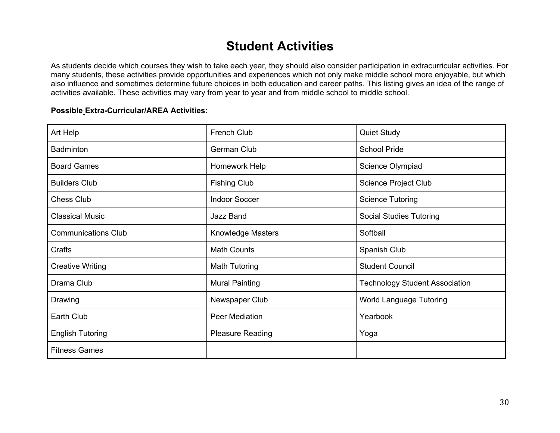## **Student Activities**

As students decide which courses they wish to take each year, they should also consider participation in extracurricular activities. For many students, these activities provide opportunities and experiences which not only make middle school more enjoyable, but which also influence and sometimes determine future choices in both education and career paths. This listing gives an idea of the range of activities available. These activities may vary from year to year and from middle school to middle school.

#### **Possible Extra-Curricular/AREA Activities:**

| Art Help                   | <b>French Club</b>       | <b>Quiet Study</b>                    |
|----------------------------|--------------------------|---------------------------------------|
| <b>Badminton</b>           | German Club              | <b>School Pride</b>                   |
| <b>Board Games</b>         | Homework Help            | Science Olympiad                      |
| <b>Builders Club</b>       | <b>Fishing Club</b>      | <b>Science Project Club</b>           |
| <b>Chess Club</b>          | <b>Indoor Soccer</b>     | <b>Science Tutoring</b>               |
| <b>Classical Music</b>     | Jazz Band                | <b>Social Studies Tutoring</b>        |
| <b>Communications Club</b> | <b>Knowledge Masters</b> | Softball                              |
| Crafts                     | <b>Math Counts</b>       | Spanish Club                          |
| <b>Creative Writing</b>    | Math Tutoring            | <b>Student Council</b>                |
| Drama Club                 | <b>Mural Painting</b>    | <b>Technology Student Association</b> |
| Drawing                    | Newspaper Club           | <b>World Language Tutoring</b>        |
| Earth Club                 | Peer Mediation           | Yearbook                              |
| <b>English Tutoring</b>    | <b>Pleasure Reading</b>  | Yoga                                  |
| <b>Fitness Games</b>       |                          |                                       |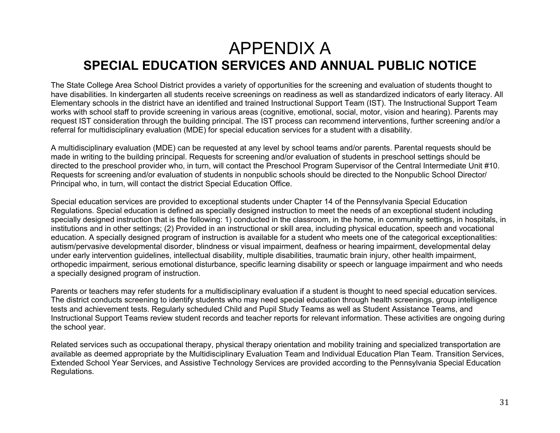## APPENDIX A **SPECIAL EDUCATION SERVICES AND ANNUAL PUBLIC NOTICE**

The State College Area School District provides a variety of opportunities for the screening and evaluation of students thought to have disabilities. In kindergarten all students receive screenings on readiness as well as standardized indicators of early literacy. All Elementary schools in the district have an identified and trained Instructional Support Team (IST). The Instructional Support Team works with school staff to provide screening in various areas (cognitive, emotional, social, motor, vision and hearing). Parents may request IST consideration through the building principal. The IST process can recommend interventions, further screening and/or a referral for multidisciplinary evaluation (MDE) for special education services for a student with a disability.

A multidisciplinary evaluation (MDE) can be requested at any level by school teams and/or parents. Parental requests should be made in writing to the building principal. Requests for screening and/or evaluation of students in preschool settings should be directed to the preschool provider who, in turn, will contact the Preschool Program Supervisor of the Central Intermediate Unit #10. Requests for screening and/or evaluation of students in nonpublic schools should be directed to the Nonpublic School Director/ Principal who, in turn, will contact the district Special Education Office.

Special education services are provided to exceptional students under Chapter 14 of the Pennsylvania Special Education Regulations. Special education is defined as specially designed instruction to meet the needs of an exceptional student including specially designed instruction that is the following: 1) conducted in the classroom, in the home, in community settings, in hospitals, in institutions and in other settings; (2) Provided in an instructional or skill area, including physical education, speech and vocational education. A specially designed program of instruction is available for a student who meets one of the categorical exceptionalities: autism/pervasive developmental disorder, blindness or visual impairment, deafness or hearing impairment, developmental delay under early intervention guidelines, intellectual disability, multiple disabilities, traumatic brain injury, other health impairment, orthopedic impairment, serious emotional disturbance, specific learning disability or speech or language impairment and who needs a specially designed program of instruction.

Parents or teachers may refer students for a multidisciplinary evaluation if a student is thought to need special education services. The district conducts screening to identify students who may need special education through health screenings, group intelligence tests and achievement tests. Regularly scheduled Child and Pupil Study Teams as well as Student Assistance Teams, and Instructional Support Teams review student records and teacher reports for relevant information. These activities are ongoing during the school year.

Related services such as occupational therapy, physical therapy orientation and mobility training and specialized transportation are available as deemed appropriate by the Multidisciplinary Evaluation Team and Individual Education Plan Team. Transition Services, Extended School Year Services, and Assistive Technology Services are provided according to the Pennsylvania Special Education Regulations.